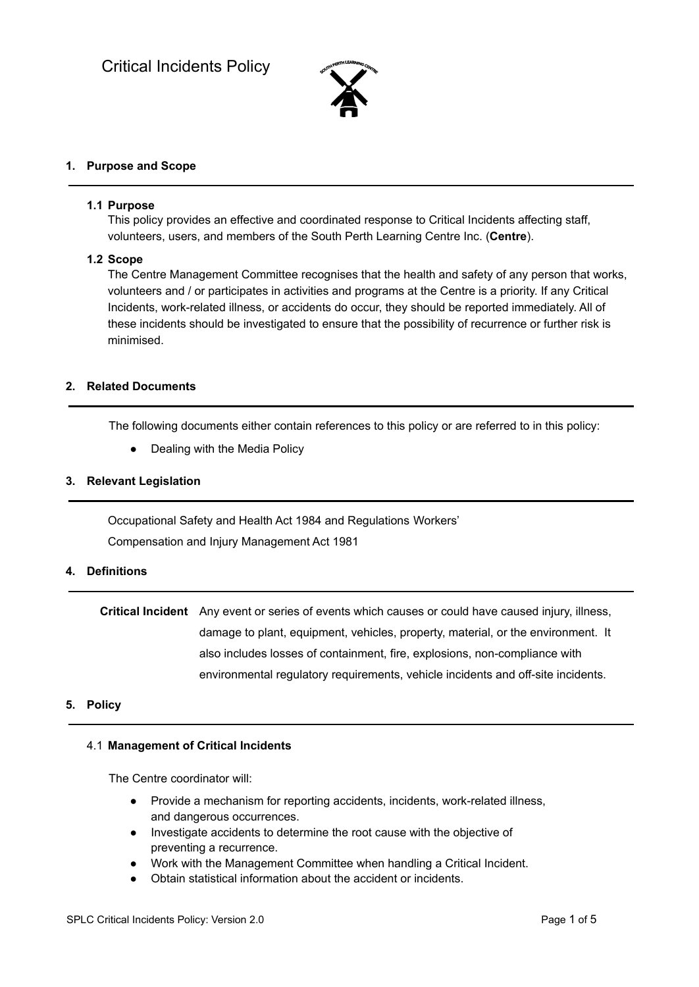

## **1. Purpose and Scope**

### **1.1 Purpose**

This policy provides an effective and coordinated response to Critical Incidents affecting staff, volunteers, users, and members of the South Perth Learning Centre Inc. (**Centre**).

### **1.2 Scope**

The Centre Management Committee recognises that the health and safety of any person that works, volunteers and / or participates in activities and programs at the Centre is a priority. If any Critical Incidents, work-related illness, or accidents do occur, they should be reported immediately. All of these incidents should be investigated to ensure that the possibility of recurrence or further risk is minimised.

## **2. Related Documents**

The following documents either contain references to this policy or are referred to in this policy:

• Dealing with the Media Policy

### **3. Relevant Legislation**

Occupational Safety and Health Act 1984 and Regulations Workers' Compensation and Injury Management Act 1981

## **4. Definitions**

**Critical Incident** Any event or series of events which causes or could have caused injury, illness, damage to plant, equipment, vehicles, property, material, or the environment. It also includes losses of containment, fire, explosions, non-compliance with environmental regulatory requirements, vehicle incidents and off-site incidents.

#### **5. Policy**

#### 4.1 **Management of Critical Incidents**

The Centre coordinator will:

- Provide a mechanism for reporting accidents, incidents, work-related illness, and dangerous occurrences.
- Investigate accidents to determine the root cause with the objective of preventing a recurrence.
- Work with the Management Committee when handling a Critical Incident.
- Obtain statistical information about the accident or incidents.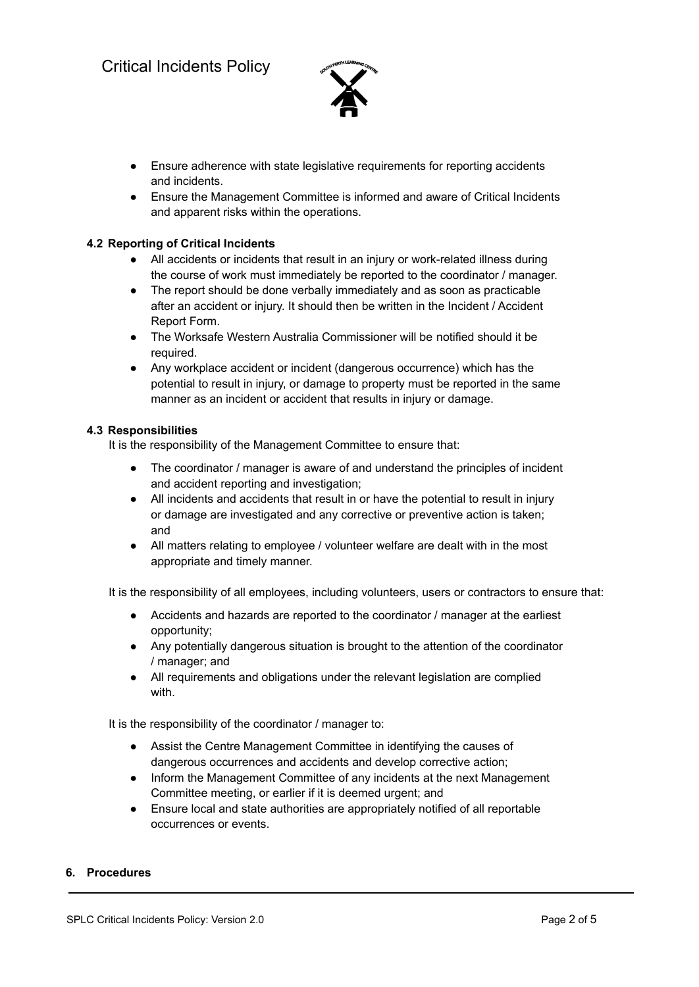

- Ensure adherence with state legislative requirements for reporting accidents and incidents.
- Ensure the Management Committee is informed and aware of Critical Incidents and apparent risks within the operations.

# **4.2 Reporting of Critical Incidents**

- All accidents or incidents that result in an injury or work-related illness during the course of work must immediately be reported to the coordinator / manager.
- The report should be done verbally immediately and as soon as practicable after an accident or injury. It should then be written in the Incident / Accident Report Form.
- The Worksafe Western Australia Commissioner will be notified should it be required.
- Any workplace accident or incident (dangerous occurrence) which has the potential to result in injury, or damage to property must be reported in the same manner as an incident or accident that results in injury or damage.

## **4.3 Responsibilities**

It is the responsibility of the Management Committee to ensure that:

- The coordinator / manager is aware of and understand the principles of incident and accident reporting and investigation;
- All incidents and accidents that result in or have the potential to result in injury or damage are investigated and any corrective or preventive action is taken; and
- All matters relating to employee / volunteer welfare are dealt with in the most appropriate and timely manner.

It is the responsibility of all employees, including volunteers, users or contractors to ensure that:

- Accidents and hazards are reported to the coordinator / manager at the earliest opportunity;
- Any potentially dangerous situation is brought to the attention of the coordinator / manager; and
- All requirements and obligations under the relevant legislation are complied with.

It is the responsibility of the coordinator / manager to:

- Assist the Centre Management Committee in identifying the causes of dangerous occurrences and accidents and develop corrective action;
- Inform the Management Committee of any incidents at the next Management Committee meeting, or earlier if it is deemed urgent; and
- Ensure local and state authorities are appropriately notified of all reportable occurrences or events.

## **6. Procedures**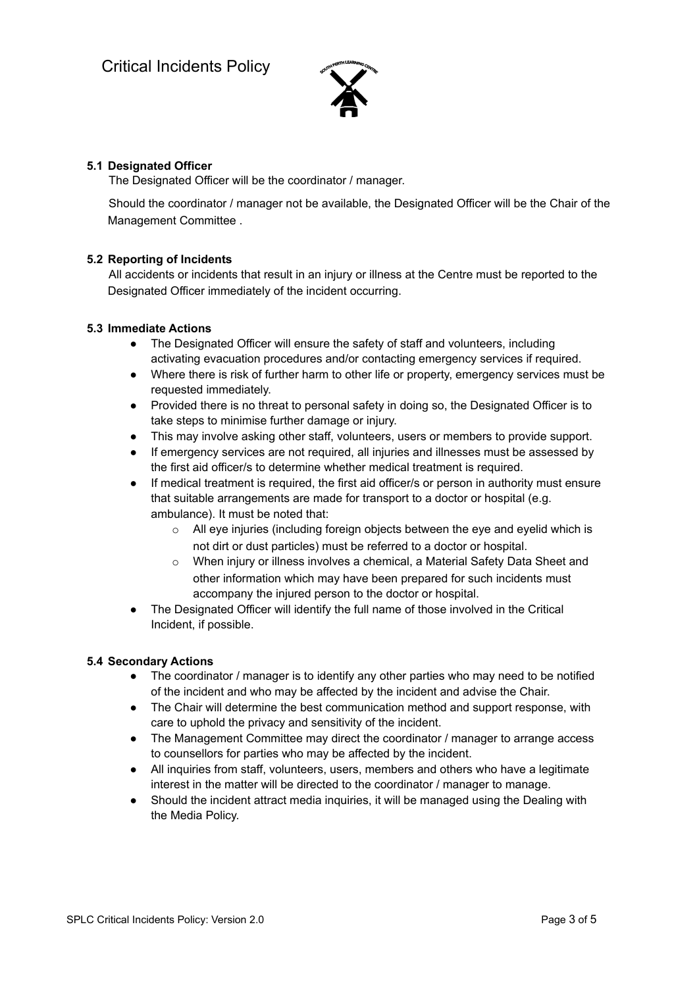

# **5.1 Designated Officer**

The Designated Officer will be the coordinator / manager.

Should the coordinator / manager not be available, the Designated Officer will be the Chair of the Management Committee .

## **5.2 Reporting of Incidents**

All accidents or incidents that result in an injury or illness at the Centre must be reported to the Designated Officer immediately of the incident occurring.

## **5.3 Immediate Actions**

- The Designated Officer will ensure the safety of staff and volunteers, including activating evacuation procedures and/or contacting emergency services if required.
- Where there is risk of further harm to other life or property, emergency services must be requested immediately.
- Provided there is no threat to personal safety in doing so, the Designated Officer is to take steps to minimise further damage or injury.
- This may involve asking other staff, volunteers, users or members to provide support.
- If emergency services are not required, all injuries and illnesses must be assessed by the first aid officer/s to determine whether medical treatment is required.
- If medical treatment is required, the first aid officer/s or person in authority must ensure that suitable arrangements are made for transport to a doctor or hospital (e.g. ambulance). It must be noted that:
	- $\circ$  All eye injuries (including foreign objects between the eye and eyelid which is not dirt or dust particles) must be referred to a doctor or hospital.
	- o When injury or illness involves a chemical, a Material Safety Data Sheet and other information which may have been prepared for such incidents must accompany the injured person to the doctor or hospital.
- The Designated Officer will identify the full name of those involved in the Critical Incident, if possible.

## **5.4 Secondary Actions**

- The coordinator / manager is to identify any other parties who may need to be notified of the incident and who may be affected by the incident and advise the Chair.
- The Chair will determine the best communication method and support response, with care to uphold the privacy and sensitivity of the incident.
- The Management Committee may direct the coordinator / manager to arrange access to counsellors for parties who may be affected by the incident.
- All inquiries from staff, volunteers, users, members and others who have a legitimate interest in the matter will be directed to the coordinator / manager to manage.
- Should the incident attract media inquiries, it will be managed using the Dealing with the Media Policy.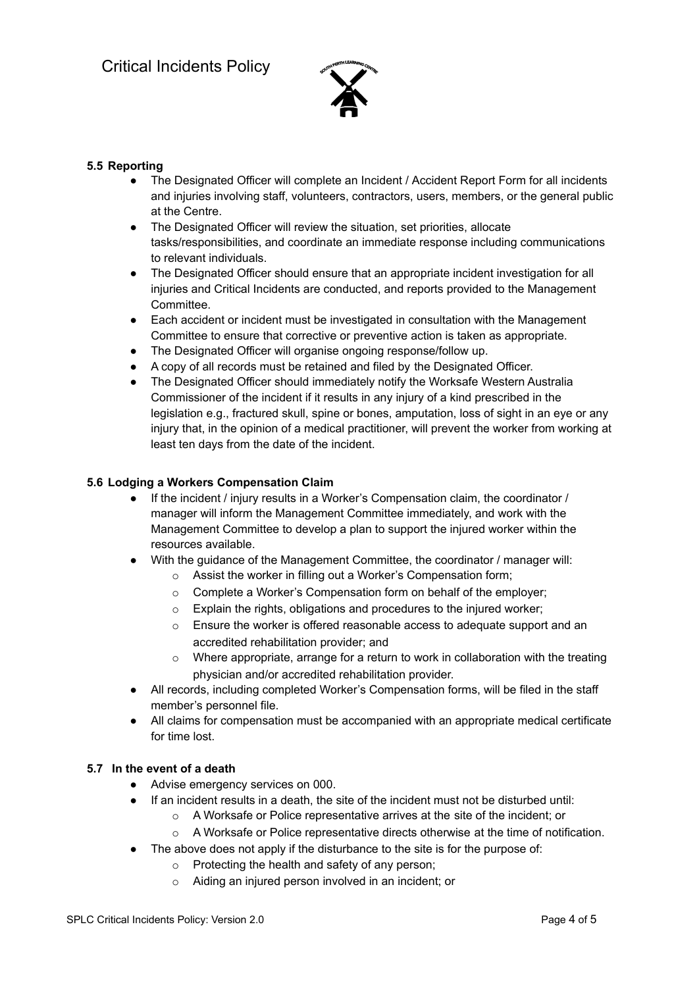

# **5.5 Reporting**

- The Designated Officer will complete an Incident / Accident Report Form for all incidents and injuries involving staff, volunteers, contractors, users, members, or the general public at the Centre.
- The Designated Officer will review the situation, set priorities, allocate tasks/responsibilities, and coordinate an immediate response including communications to relevant individuals.
- The Designated Officer should ensure that an appropriate incident investigation for all injuries and Critical Incidents are conducted, and reports provided to the Management Committee.
- Each accident or incident must be investigated in consultation with the Management Committee to ensure that corrective or preventive action is taken as appropriate.
- The Designated Officer will organise ongoing response/follow up.
- A copy of all records must be retained and filed by the Designated Officer.
- The Designated Officer should immediately notify the Worksafe Western Australia Commissioner of the incident if it results in any injury of a kind prescribed in the legislation e.g., fractured skull, spine or bones, amputation, loss of sight in an eye or any injury that, in the opinion of a medical practitioner, will prevent the worker from working at least ten days from the date of the incident.

## **5.6 Lodging a Workers Compensation Claim**

- If the incident / injury results in a Worker's Compensation claim, the coordinator / manager will inform the Management Committee immediately, and work with the Management Committee to develop a plan to support the injured worker within the resources available.
- With the guidance of the Management Committee, the coordinator / manager will:
	- o Assist the worker in filling out a Worker's Compensation form;
	- o Complete a Worker's Compensation form on behalf of the employer;
	- o Explain the rights, obligations and procedures to the injured worker;
	- o Ensure the worker is offered reasonable access to adequate support and an accredited rehabilitation provider; and
	- $\circ$  Where appropriate, arrange for a return to work in collaboration with the treating physician and/or accredited rehabilitation provider.
- All records, including completed Worker's Compensation forms, will be filed in the staff member's personnel file.
- All claims for compensation must be accompanied with an appropriate medical certificate for time lost.

## **5.7 In the event of a death**

- Advise emergency services on 000.
	- If an incident results in a death, the site of the incident must not be disturbed until:
		- o A Worksafe or Police representative arrives at the site of the incident; or
		- $\circ$  A Worksafe or Police representative directs otherwise at the time of notification.
- The above does not apply if the disturbance to the site is for the purpose of:
	- o Protecting the health and safety of any person;
	- o Aiding an injured person involved in an incident; or